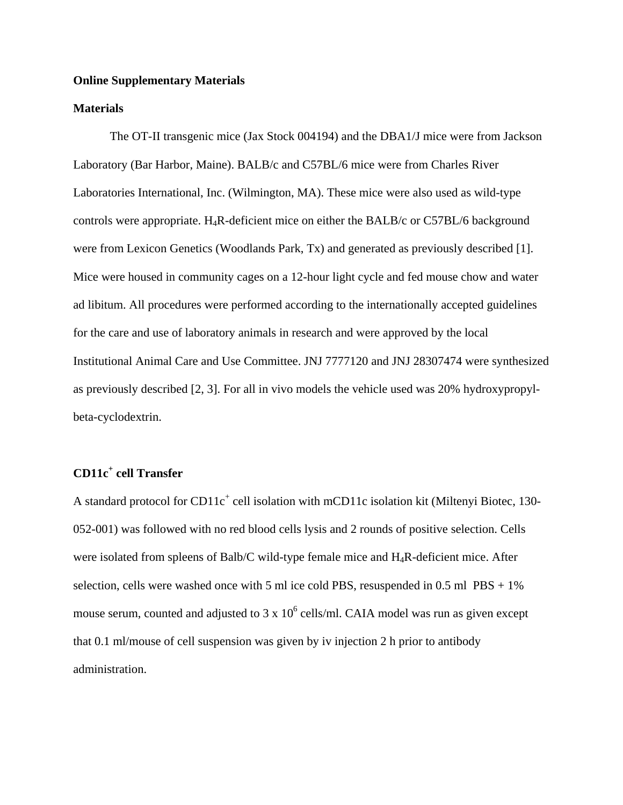# **Online Supplementary Materials**

## **Materials**

The OT-II transgenic mice (Jax Stock 004194) and the DBA1/J mice were from Jackson Laboratory (Bar Harbor, Maine). BALB/c and C57BL/6 mice were from Charles River Laboratories International, Inc. (Wilmington, MA). These mice were also used as wild-type controls were appropriate. H4R-deficient mice on either the BALB/c or C57BL/6 background were from Lexicon Genetics (Woodlands Park, Tx) and generated as previously described [1]. Mice were housed in community cages on a 12-hour light cycle and fed mouse chow and water ad libitum. All procedures were performed according to the internationally accepted guidelines for the care and use of laboratory animals in research and were approved by the local Institutional Animal Care and Use Committee. JNJ 7777120 and JNJ 28307474 were synthesized as previously described [2, 3]. For all in vivo models the vehicle used was 20% hydroxypropylbeta-cyclodextrin.

# **CD11c<sup>+</sup> cell Transfer**

A standard protocol for CD11c<sup>+</sup> cell isolation with mCD11c isolation kit (Miltenyi Biotec, 130-052-001) was followed with no red blood cells lysis and 2 rounds of positive selection. Cells were isolated from spleens of Balb/C wild-type female mice and H4R-deficient mice. After selection, cells were washed once with 5 ml ice cold PBS, resuspended in  $0.5$  ml  $PBS + 1\%$ mouse serum, counted and adjusted to 3 x  $10^6$  cells/ml. CAIA model was run as given except that 0.1 ml/mouse of cell suspension was given by iv injection 2 h prior to antibody administration.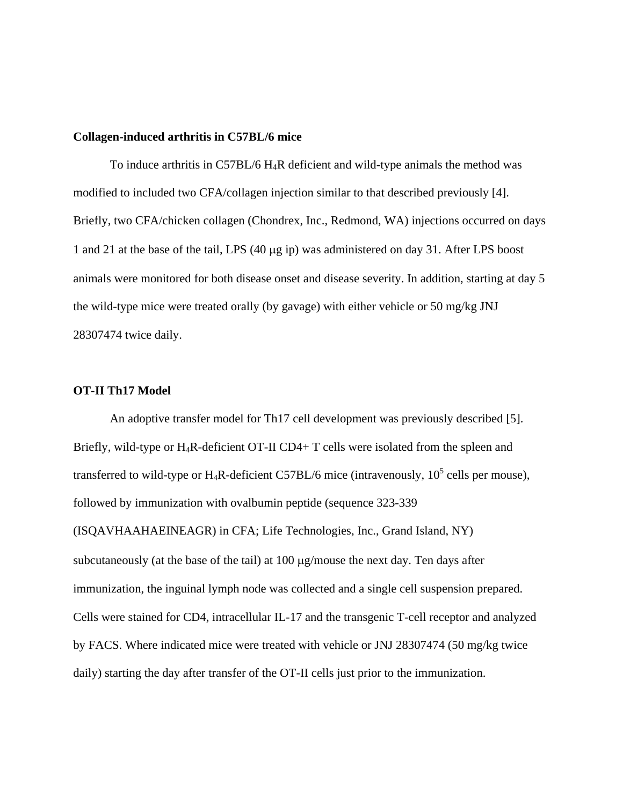#### **Collagen-induced arthritis in C57BL/6 mice**

To induce arthritis in C57BL/6  $H_4R$  deficient and wild-type animals the method was modified to included two CFA/collagen injection similar to that described previously [4]. Briefly, two CFA/chicken collagen (Chondrex, Inc., Redmond, WA) injections occurred on days 1 and 21 at the base of the tail, LPS  $(40 \mu g \text{ ip})$  was administered on day 31. After LPS boost animals were monitored for both disease onset and disease severity. In addition, starting at day 5 the wild-type mice were treated orally (by gavage) with either vehicle or 50 mg/kg JNJ 28307474 twice daily.

# **OT-II Th17 Model**

An adoptive transfer model for Th17 cell development was previously described [5]. Briefly, wild-type or  $H_4R$ -deficient OT-II CD4+ T cells were isolated from the spleen and transferred to wild-type or H<sub>4</sub>R-deficient C57BL/6 mice (intravenously,  $10^5$  cells per mouse), followed by immunization with ovalbumin peptide (sequence 323-339 (ISQAVHAAHAEINEAGR) in CFA; Life Technologies, Inc., Grand Island, NY) subcutaneously (at the base of the tail) at  $100 \mu$ g/mouse the next day. Ten days after immunization, the inguinal lymph node was collected and a single cell suspension prepared. Cells were stained for CD4, intracellular IL-17 and the transgenic T-cell receptor and analyzed by FACS. Where indicated mice were treated with vehicle or JNJ 28307474 (50 mg/kg twice daily) starting the day after transfer of the OT-II cells just prior to the immunization.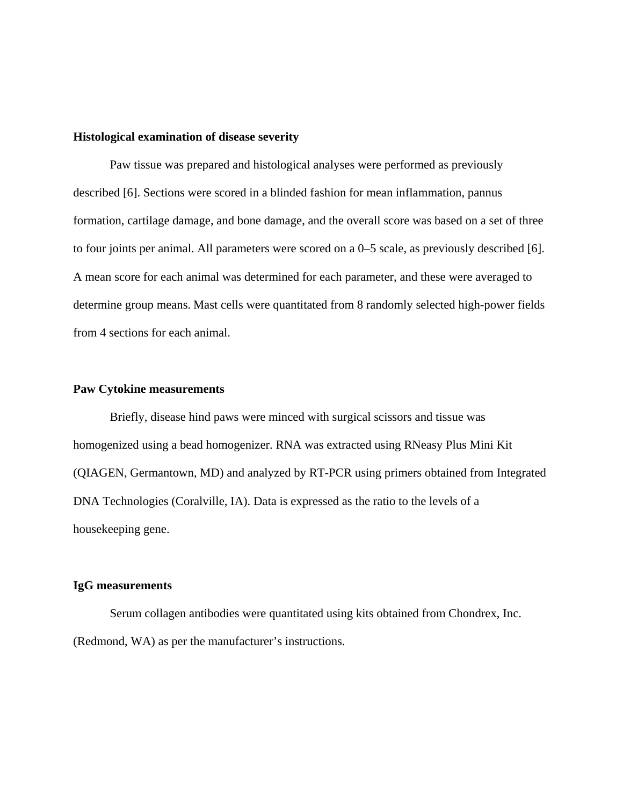#### **Histological examination of disease severity**

Paw tissue was prepared and histological analyses were performed as previously described [6]. Sections were scored in a blinded fashion for mean inflammation, pannus formation, cartilage damage, and bone damage, and the overall score was based on a set of three to four joints per animal. All parameters were scored on a 0–5 scale, as previously described [6]. A mean score for each animal was determined for each parameter, and these were averaged to determine group means. Mast cells were quantitated from 8 randomly selected high-power fields from 4 sections for each animal.

#### **Paw Cytokine measurements**

 Briefly, disease hind paws were minced with surgical scissors and tissue was homogenized using a bead homogenizer. RNA was extracted using RNeasy Plus Mini Kit (QIAGEN, Germantown, MD) and analyzed by RT-PCR using primers obtained from Integrated DNA Technologies (Coralville, IA). Data is expressed as the ratio to the levels of a housekeeping gene.

# **IgG measurements**

Serum collagen antibodies were quantitated using kits obtained from Chondrex, Inc. (Redmond, WA) as per the manufacturer's instructions.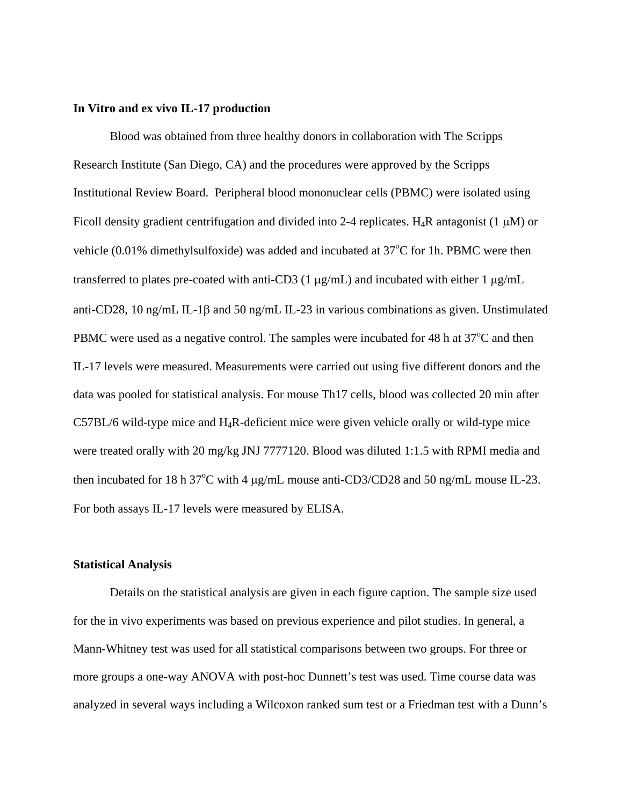#### **In Vitro and ex vivo IL-17 production**

Blood was obtained from three healthy donors in collaboration with The Scripps Research Institute (San Diego, CA) and the procedures were approved by the Scripps Institutional Review Board. Peripheral blood mononuclear cells (PBMC) were isolated using Ficoll density gradient centrifugation and divided into 2-4 replicates. H<sub>4</sub>R antagonist (1  $\mu$ M) or vehicle  $(0.01\%$  dimethylsulfoxide) was added and incubated at  $37^{\circ}$ C for 1h. PBMC were then transferred to plates pre-coated with anti-CD3 (1  $\mu$ g/mL) and incubated with either 1  $\mu$ g/mL anti-CD28, 10 ng/mL IL-1 $\beta$  and 50 ng/mL IL-23 in various combinations as given. Unstimulated PBMC were used as a negative control. The samples were incubated for 48 h at  $37^{\circ}$ C and then IL-17 levels were measured. Measurements were carried out using five different donors and the data was pooled for statistical analysis. For mouse Th17 cells, blood was collected 20 min after C57BL/6 wild-type mice and H4R-deficient mice were given vehicle orally or wild-type mice were treated orally with 20 mg/kg JNJ 7777120. Blood was diluted 1:1.5 with RPMI media and then incubated for 18 h  $37^{\circ}$ C with 4  $\mu$ g/mL mouse anti-CD3/CD28 and 50 ng/mL mouse IL-23. For both assays IL-17 levels were measured by ELISA.

### **Statistical Analysis**

Details on the statistical analysis are given in each figure caption. The sample size used for the in vivo experiments was based on previous experience and pilot studies. In general, a Mann-Whitney test was used for all statistical comparisons between two groups. For three or more groups a one-way ANOVA with post-hoc Dunnett's test was used. Time course data was analyzed in several ways including a Wilcoxon ranked sum test or a Friedman test with a Dunn's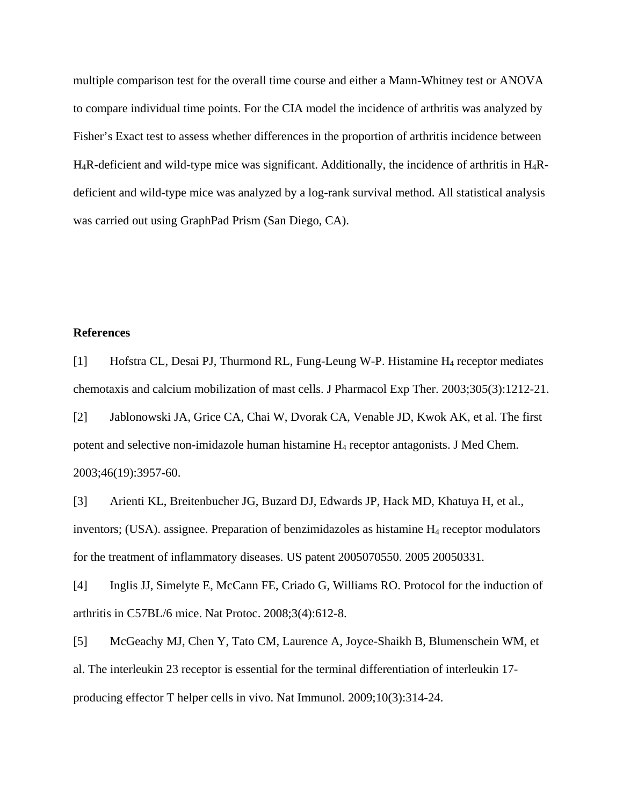multiple comparison test for the overall time course and either a Mann-Whitney test or ANOVA to compare individual time points. For the CIA model the incidence of arthritis was analyzed by Fisher's Exact test to assess whether differences in the proportion of arthritis incidence between  $H_4R$ -deficient and wild-type mice was significant. Additionally, the incidence of arthritis in  $H_4R$ deficient and wild-type mice was analyzed by a log-rank survival method. All statistical analysis was carried out using GraphPad Prism (San Diego, CA).

# **References**

[1] Hofstra CL, Desai PJ, Thurmond RL, Fung-Leung W-P. Histamine H4 receptor mediates chemotaxis and calcium mobilization of mast cells. J Pharmacol Exp Ther. 2003;305(3):1212-21.

[2] Jablonowski JA, Grice CA, Chai W, Dvorak CA, Venable JD, Kwok AK, et al. The first potent and selective non-imidazole human histamine H4 receptor antagonists. J Med Chem. 2003;46(19):3957-60.

[3] Arienti KL, Breitenbucher JG, Buzard DJ, Edwards JP, Hack MD, Khatuya H, et al., inventors; (USA). assignee. Preparation of benzimidazoles as histamine  $H_4$  receptor modulators for the treatment of inflammatory diseases. US patent 2005070550. 2005 20050331.

[4] Inglis JJ, Simelyte E, McCann FE, Criado G, Williams RO. Protocol for the induction of arthritis in C57BL/6 mice. Nat Protoc. 2008;3(4):612-8.

[5] McGeachy MJ, Chen Y, Tato CM, Laurence A, Joyce-Shaikh B, Blumenschein WM, et al. The interleukin 23 receptor is essential for the terminal differentiation of interleukin 17 producing effector T helper cells in vivo. Nat Immunol. 2009;10(3):314-24.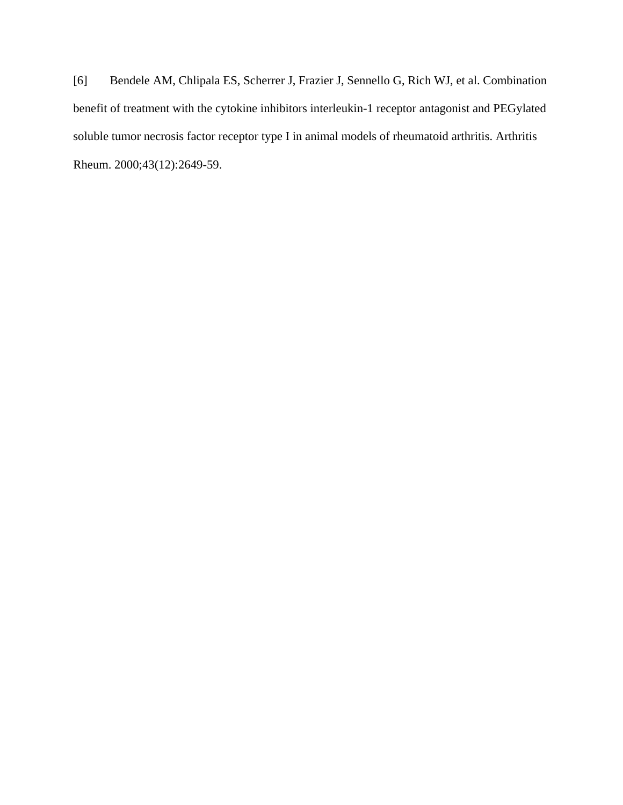[6] Bendele AM, Chlipala ES, Scherrer J, Frazier J, Sennello G, Rich WJ, et al. Combination benefit of treatment with the cytokine inhibitors interleukin-1 receptor antagonist and PEGylated soluble tumor necrosis factor receptor type I in animal models of rheumatoid arthritis. Arthritis Rheum. 2000;43(12):2649-59.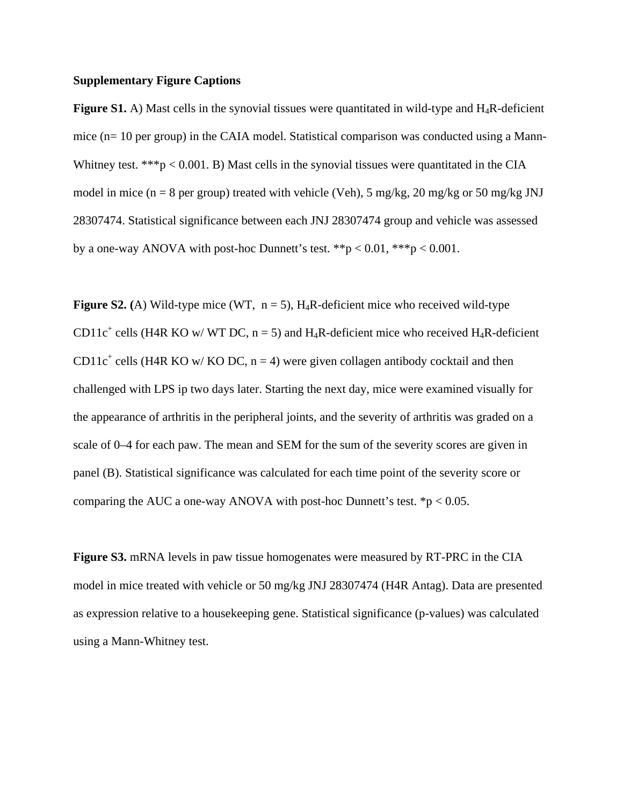### **Supplementary Figure Captions**

**Figure S1.** A) Mast cells in the synovial tissues were quantitated in wild-type and H<sub>4</sub>R-deficient mice (n= 10 per group) in the CAIA model. Statistical comparison was conducted using a Mann-Whitney test. \*\*\* $p < 0.001$ . B) Mast cells in the synovial tissues were quantitated in the CIA model in mice ( $n = 8$  per group) treated with vehicle (Veh), 5 mg/kg, 20 mg/kg or 50 mg/kg JNJ 28307474. Statistical significance between each JNJ 28307474 group and vehicle was assessed by a one-way ANOVA with post-hoc Dunnett's test.  $**p < 0.01$ ,  $***p < 0.001$ .

**Figure S2.** (A) Wild-type mice (WT,  $n = 5$ ), H<sub>4</sub>R-deficient mice who received wild-type CD11c<sup>+</sup> cells (H4R KO w/ WT DC,  $n = 5$ ) and H<sub>4</sub>R-deficient mice who received H<sub>4</sub>R-deficient CD11 $c^+$  cells (H4R KO w/KO DC, n = 4) were given collagen antibody cocktail and then challenged with LPS ip two days later. Starting the next day, mice were examined visually for the appearance of arthritis in the peripheral joints, and the severity of arthritis was graded on a scale of 0–4 for each paw. The mean and SEM for the sum of the severity scores are given in panel (B). Statistical significance was calculated for each time point of the severity score or comparing the AUC a one-way ANOVA with post-hoc Dunnett's test.  $\mathbf{\hat{p}}$  < 0.05.

**Figure S3.** mRNA levels in paw tissue homogenates were measured by RT-PRC in the CIA model in mice treated with vehicle or 50 mg/kg JNJ 28307474 (H4R Antag). Data are presented as expression relative to a housekeeping gene. Statistical significance (p-values) was calculated using a Mann-Whitney test.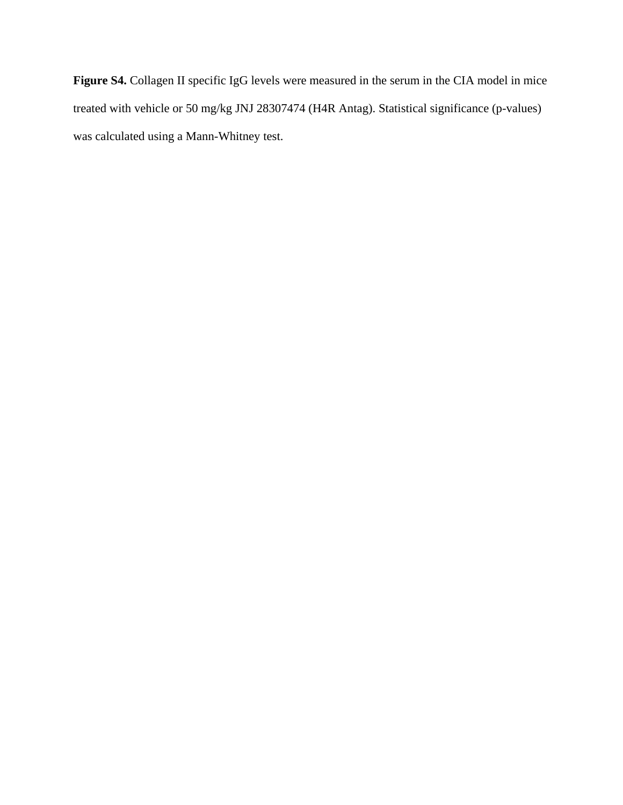Figure S4. Collagen II specific IgG levels were measured in the serum in the CIA model in mice treated with vehicle or 50 mg/kg JNJ 28307474 (H4R Antag). Statistical significance (p-values) was calculated using a Mann-Whitney test.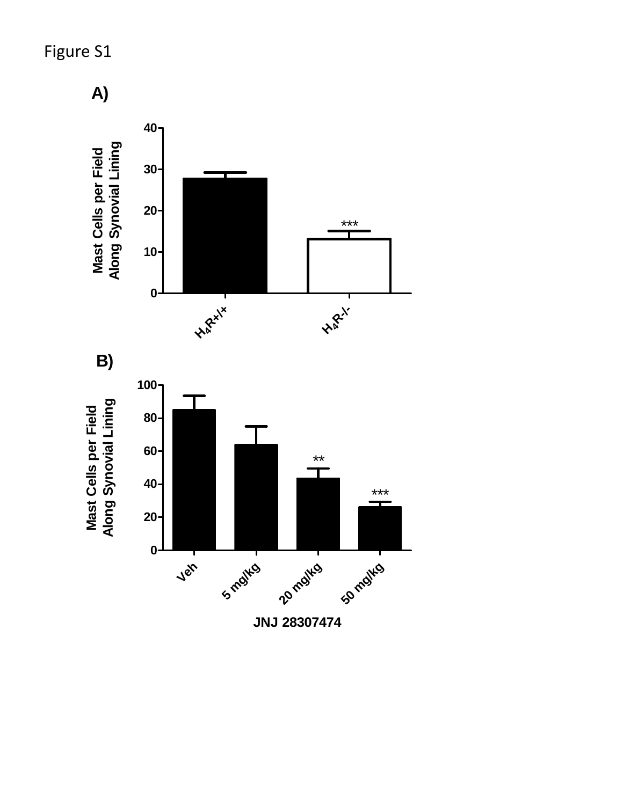# Figure S1

**A)**

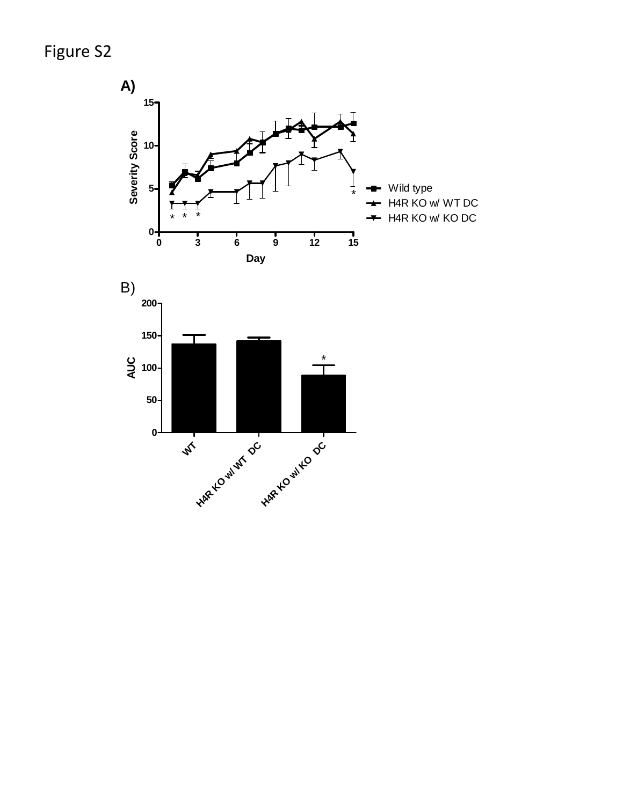Figure S2



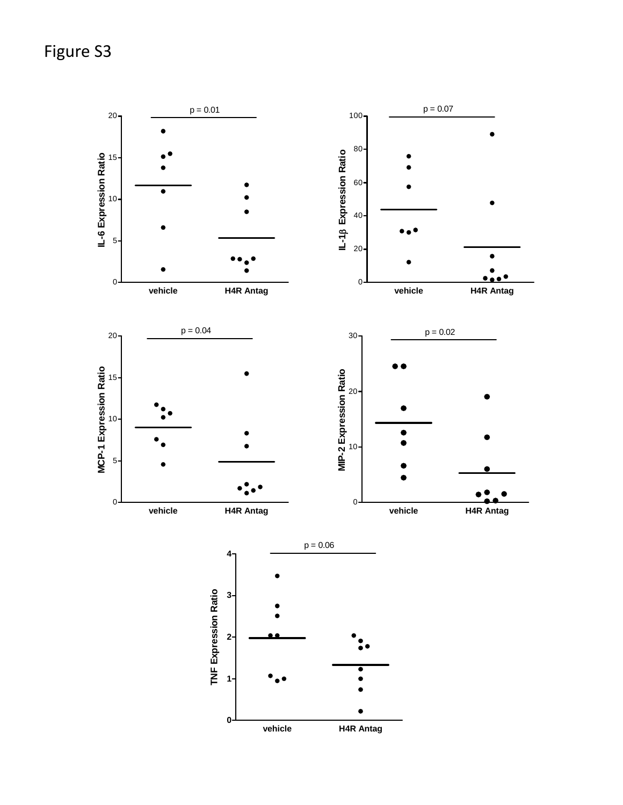Figure S3